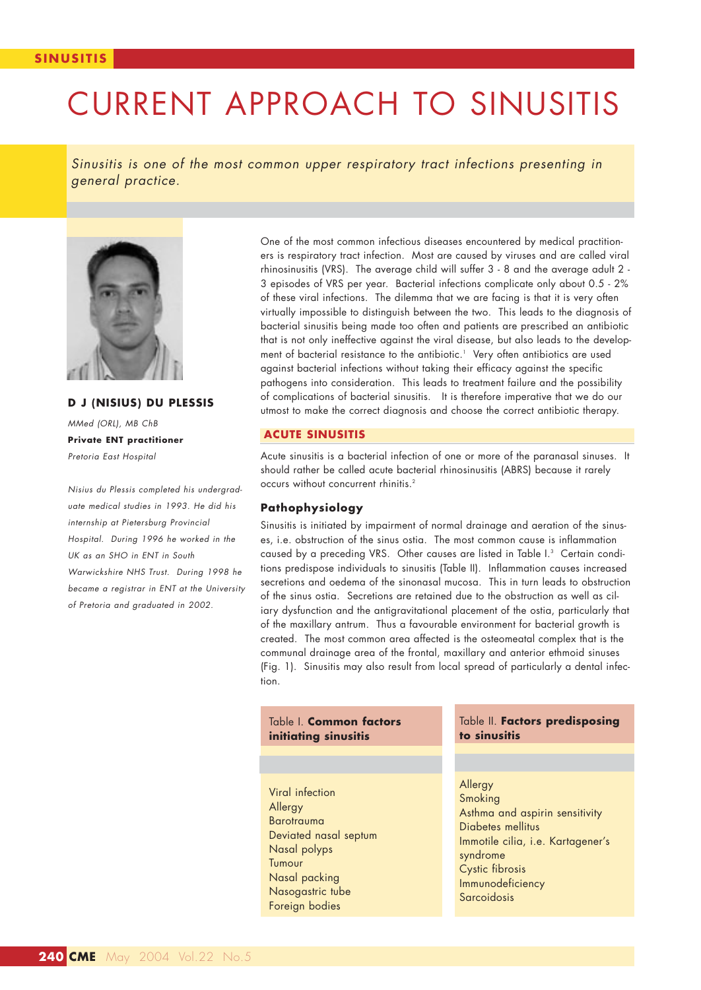## **SINUSITIS**

# CURRENT APPROACH TO SINUSITIS

Sinusitis is one of the most common upper respiratory tract infections presenting in general practice.



**D J (NISIUS) DU PLESSIS** 

MMed (ORL), MB ChB **Private ENT practitioner** Pretoria East Hospital

Nisius du Plessis completed his undergraduate medical studies in 1993. He did his internship at Pietersburg Provincial Hospital. During 1996 he worked in the UK as an SHO in ENT in South Warwickshire NHS Trust. During 1998 he became a registrar in ENT at the University of Pretoria and graduated in 2002.

One of the most common infectious diseases encountered by medical practitioners is respiratory tract infection. Most are caused by viruses and are called viral rhinosinusitis (VRS). The average child will suffer 3 - 8 and the average adult 2 - 3 episodes of VRS per year. Bacterial infections complicate only about 0.5 - 2% of these viral infections. The dilemma that we are facing is that it is very often virtually impossible to distinguish between the two. This leads to the diagnosis of bacterial sinusitis being made too often and patients are prescribed an antibiotic that is not only ineffective against the viral disease, but also leads to the development of bacterial resistance to the antibiotic.<sup>1</sup> Very often antibiotics are used against bacterial infections without taking their efficacy against the specific pathogens into consideration. This leads to treatment failure and the possibility of complications of bacterial sinusitis. It is therefore imperative that we do our utmost to make the correct diagnosis and choose the correct antibiotic therapy.

#### **ACUTE SINUSITIS**

Acute sinusitis is a bacterial infection of one or more of the paranasal sinuses. It should rather be called acute bacterial rhinosinusitis (ABRS) because it rarely occurs without concurrent rhinitis.<sup>2</sup>

#### **Pathophysiology**

Sinusitis is initiated by impairment of normal drainage and aeration of the sinuses, i.e. obstruction of the sinus ostia. The most common cause is inflammation caused by a preceding VRS. Other causes are listed in Table I.3 Certain conditions predispose individuals to sinusitis (Table II). Inflammation causes increased secretions and oedema of the sinonasal mucosa. This in turn leads to obstruction of the sinus ostia. Secretions are retained due to the obstruction as well as ciliary dysfunction and the antigravitational placement of the ostia, particularly that of the maxillary antrum. Thus a favourable environment for bacterial growth is created. The most common area affected is the osteomeatal complex that is the communal drainage area of the frontal, maxillary and anterior ethmoid sinuses (Fig. 1). Sinusitis may also result from local spread of particularly a dental infection.

# Table I. **Common factors initiating sinusitis**

Viral infection Allergy Barotrauma Deviated nasal septum Nasal polyps Tumour Nasal packing Nasogastric tube Foreign bodies

Table II. **Factors predisposing to sinusitis**

Allergy Smoking Asthma and aspirin sensitivity Diabetes mellitus Immotile cilia, i.e. Kartagener's syndrome Cystic fibrosis Immunodeficiency **Sarcoidosis**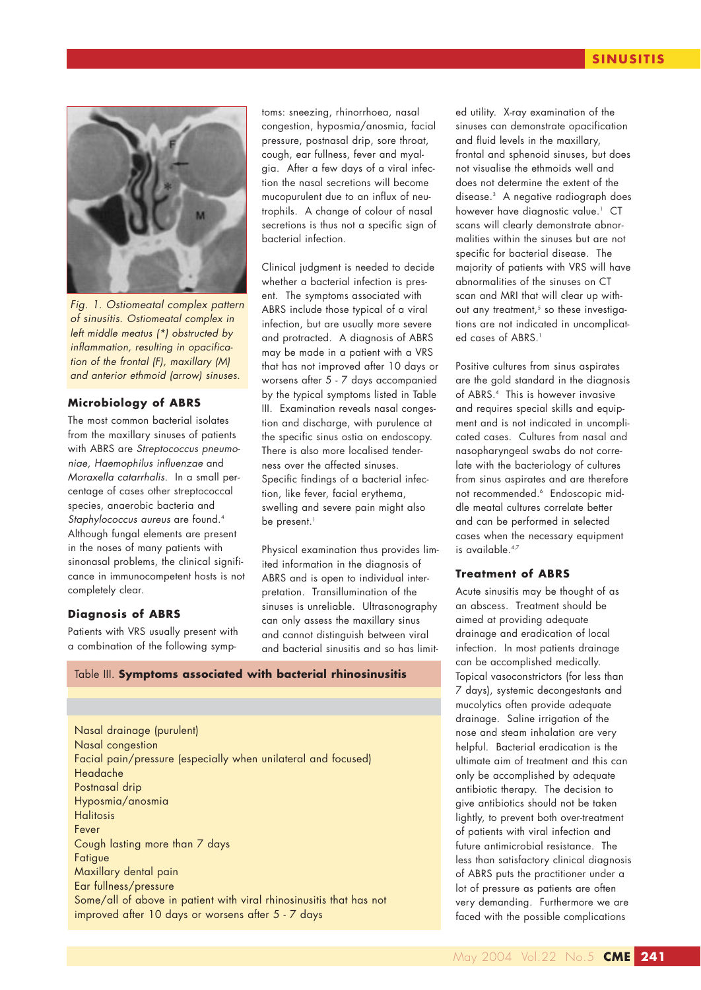

Fig. 1. Ostiomeatal complex pattern of sinusitis. Ostiomeatal complex in left middle meatus (\*) obstructed by inflammation, resulting in opacification of the frontal (F), maxillary (M) and anterior ethmoid (arrow) sinuses.

## **Microbiology of ABRS**

The most common bacterial isolates from the maxillary sinuses of patients with ABRS are Streptococcus pneumoniae, Haemophilus influenzae and Moraxella catarrhalis. In a small percentage of cases other streptococcal species, anaerobic bacteria and Staphylococcus aureus are found.<sup>4</sup> Although fungal elements are present in the noses of many patients with sinonasal problems, the clinical significance in immunocompetent hosts is not completely clear.

#### **Diagnosis of ABRS**

Patients with VRS usually present with a combination of the following symptoms: sneezing, rhinorrhoea, nasal congestion, hyposmia/anosmia, facial pressure, postnasal drip, sore throat, cough, ear fullness, fever and myalgia. After a few days of a viral infection the nasal secretions will become mucopurulent due to an influx of neutrophils. A change of colour of nasal secretions is thus not a specific sign of bacterial infection.

Clinical judgment is needed to decide whether a bacterial infection is present. The symptoms associated with ABRS include those typical of a viral infection, but are usually more severe and protracted. A diagnosis of ABRS may be made in a patient with a VRS that has not improved after 10 days or worsens after 5 - 7 days accompanied by the typical symptoms listed in Table III. Examination reveals nasal congestion and discharge, with purulence at the specific sinus ostia on endoscopy. There is also more localised tenderness over the affected sinuses. Specific findings of a bacterial infection, like fever, facial erythema, swelling and severe pain might also be present.<sup>1</sup>

Physical examination thus provides limited information in the diagnosis of ABRS and is open to individual interpretation. Transillumination of the sinuses is unreliable. Ultrasonography can only assess the maxillary sinus and cannot distinguish between viral and bacterial sinusitis and so has limit-

Table III. **Symptoms associated with bacterial rhinosinusitis**

Nasal drainage (purulent) Nasal congestion Facial pain/pressure (especially when unilateral and focused) Headache Postnasal drip Hyposmia/anosmia **Halitosis** Fever Cough lasting more than 7 days **Fatique** Maxillary dental pain Ear fullness/pressure Some/all of above in patient with viral rhinosinusitis that has not improved after 10 days or worsens after 5 - 7 days

ed utility. X-ray examination of the sinuses can demonstrate opacification and fluid levels in the maxillary, frontal and sphenoid sinuses, but does not visualise the ethmoids well and does not determine the extent of the disease.<sup>3</sup> A negative radiograph does however have diagnostic value.<sup>1</sup> CT scans will clearly demonstrate abnormalities within the sinuses but are not specific for bacterial disease. The majority of patients with VRS will have abnormalities of the sinuses on CT scan and MRI that will clear up without any treatment, $5$  so these investigations are not indicated in uncomplicated cases of ABRS.<sup>1</sup>

Positive cultures from sinus aspirates are the gold standard in the diagnosis of ABRS.<sup>4</sup> This is however invasive and requires special skills and equipment and is not indicated in uncomplicated cases. Cultures from nasal and nasopharyngeal swabs do not correlate with the bacteriology of cultures from sinus aspirates and are therefore not recommended.<sup>6</sup> Endoscopic middle meatal cultures correlate better and can be performed in selected cases when the necessary equipment is available.<sup>4,7</sup>

#### **Treatment of ABRS**

Acute sinusitis may be thought of as an abscess. Treatment should be aimed at providing adequate drainage and eradication of local infection. In most patients drainage can be accomplished medically. Topical vasoconstrictors (for less than 7 days), systemic decongestants and mucolytics often provide adequate drainage. Saline irrigation of the nose and steam inhalation are very helpful. Bacterial eradication is the ultimate aim of treatment and this can only be accomplished by adequate antibiotic therapy. The decision to give antibiotics should not be taken lightly, to prevent both over-treatment of patients with viral infection and future antimicrobial resistance. The less than satisfactory clinical diagnosis of ABRS puts the practitioner under a lot of pressure as patients are often very demanding. Furthermore we are faced with the possible complications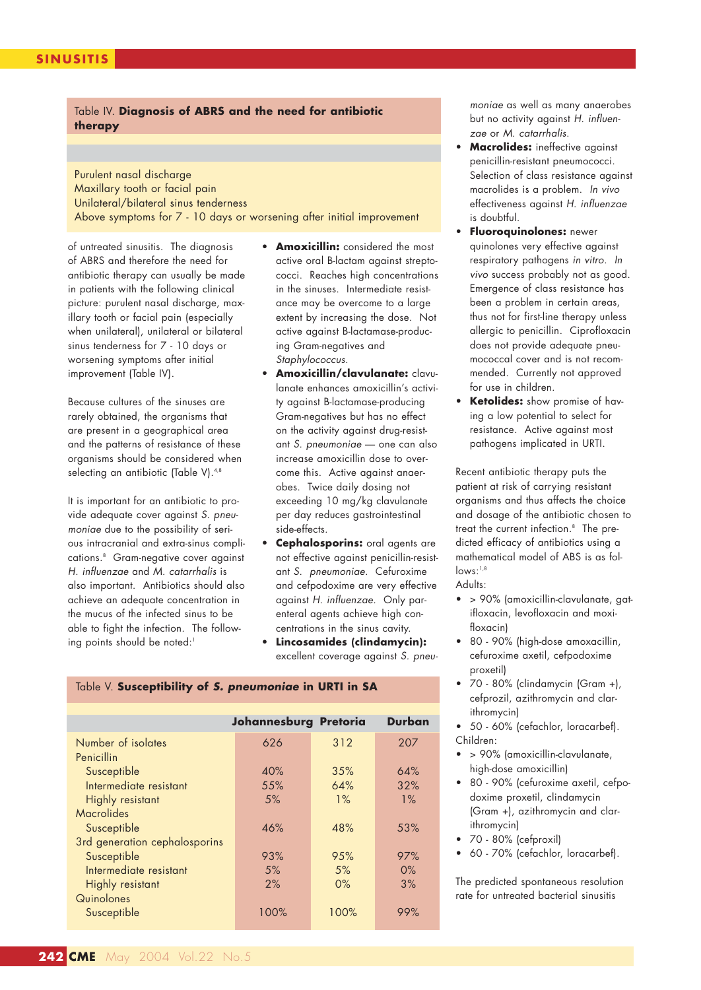## **SINUSITIS**

## Table IV. **Diagnosis of ABRS and the need for antibiotic therapy**

Purulent nasal discharge Maxillary tooth or facial pain Unilateral/bilateral sinus tenderness Above symptoms for 7 - 10 days or worsening after initial improvement

of untreated sinusitis. The diagnosis of ABRS and therefore the need for antibiotic therapy can usually be made in patients with the following clinical picture: purulent nasal discharge, maxillary tooth or facial pain (especially when unilateral), unilateral or bilateral sinus tenderness for 7 - 10 days or worsening symptoms after initial improvement (Table IV).

Because cultures of the sinuses are rarely obtained, the organisms that are present in a geographical area and the patterns of resistance of these organisms should be considered when selecting an antibiotic (Table V).<sup>4,8</sup>

It is important for an antibiotic to provide adequate cover against S. pneumoniae due to the possibility of serious intracranial and extra-sinus complications.<sup>8</sup> Gram-negative cover against H. influenzae and M. catarrhalis is also important. Antibiotics should also achieve an adequate concentration in the mucus of the infected sinus to be able to fight the infection. The following points should be noted:<sup>1</sup>

- **Amoxicillin:** considered the most active oral B-lactam against streptococci. Reaches high concentrations in the sinuses. Intermediate resistance may be overcome to a large extent by increasing the dose. Not active against B-lactamase-producing Gram-negatives and Staphylococcus.
- **Amoxicillin/clavulanate:** clavulanate enhances amoxicillin's activity against B-lactamase-producing Gram-negatives but has no effect on the activity against drug-resistant S. pneumoniae — one can also increase amoxicillin dose to overcome this. Active against anaerobes. Twice daily dosing not exceeding 10 mg/kg clavulanate per day reduces gastrointestinal side-effects.
- **Cephalosporins:** oral agents are not effective against penicillin-resistant S. pneumoniae. Cefuroxime and cefpodoxime are very effective against H. influenzae. Only parenteral agents achieve high concentrations in the sinus cavity.
- **Lincosamides (clindamycin):** excellent coverage against S. pneu-

Table V. **Susceptibility of** *S. pneumoniae* **in URTI in SA**

|                               | Johannesburg Pretoria |       | <b>Durban</b> |
|-------------------------------|-----------------------|-------|---------------|
| Number of isolates            | 626                   | 312   | 207           |
| Penicillin                    |                       |       |               |
| Susceptible                   | 40%                   | 35%   | 64%           |
| Intermediate resistant        | 55%                   | 64%   | 32%           |
| Highly resistant              | .5%                   | $1\%$ | $1\%$         |
| <b>Macrolides</b>             |                       |       |               |
| Susceptible                   | 46%                   | 48%   | 53%           |
| 3rd generation cephalosporins |                       |       |               |
| Susceptible                   | 93%                   | 95%   | 97%           |
| Intermediate resistant        | 5%                    | 5%    | $0\%$         |
| <b>Highly resistant</b>       | 2%                    | $0\%$ | 3%            |
| Quinolones                    |                       |       |               |
| Susceptible                   | 100%                  | 100%  | 99%           |
|                               |                       |       |               |

moniae as well as many anaerobes but no activity against H. influenzae or M. catarrhalis.

- **Macrolides:** ineffective against penicillin-resistant pneumococci. Selection of class resistance against macrolides is a problem. In vivo effectiveness against H. influenzae is doubtful.
- **Fluoroquinolones:** newer quinolones very effective against respiratory pathogens in vitro. In vivo success probably not as good. Emergence of class resistance has been a problem in certain areas, thus not for first-line therapy unless allergic to penicillin. Ciprofloxacin does not provide adequate pneumococcal cover and is not recommended. Currently not approved for use in children.
- **Ketolides:** show promise of having a low potential to select for resistance. Active against most pathogens implicated in URTI.

Recent antibiotic therapy puts the patient at risk of carrying resistant organisms and thus affects the choice and dosage of the antibiotic chosen to treat the current infection.<sup>8</sup> The predicted efficacy of antibiotics using a mathematical model of ABS is as fol $lows$ :<sup>1,8</sup>

Adults:

- > 90% (amoxicillin-clavulanate, gatifloxacin, levofloxacin and moxifloxacin)
- 80 90% (high-dose amoxacillin, cefuroxime axetil, cefpodoxime proxetil)
- 70 80% (clindamycin (Gram +), cefprozil, azithromycin and clarithromycin)
- 50 60% (cefachlor, loracarbef). Children:
- > 90% (amoxicillin-clavulanate, high-dose amoxicillin)
- 80 90% (cefuroxime axetil, cefpodoxime proxetil, clindamycin (Gram +), azithromycin and clarithromycin)
- 70 80% (cefproxil)
- 60 70% (cefachlor, loracarbef).

The predicted spontaneous resolution rate for untreated bacterial sinusitis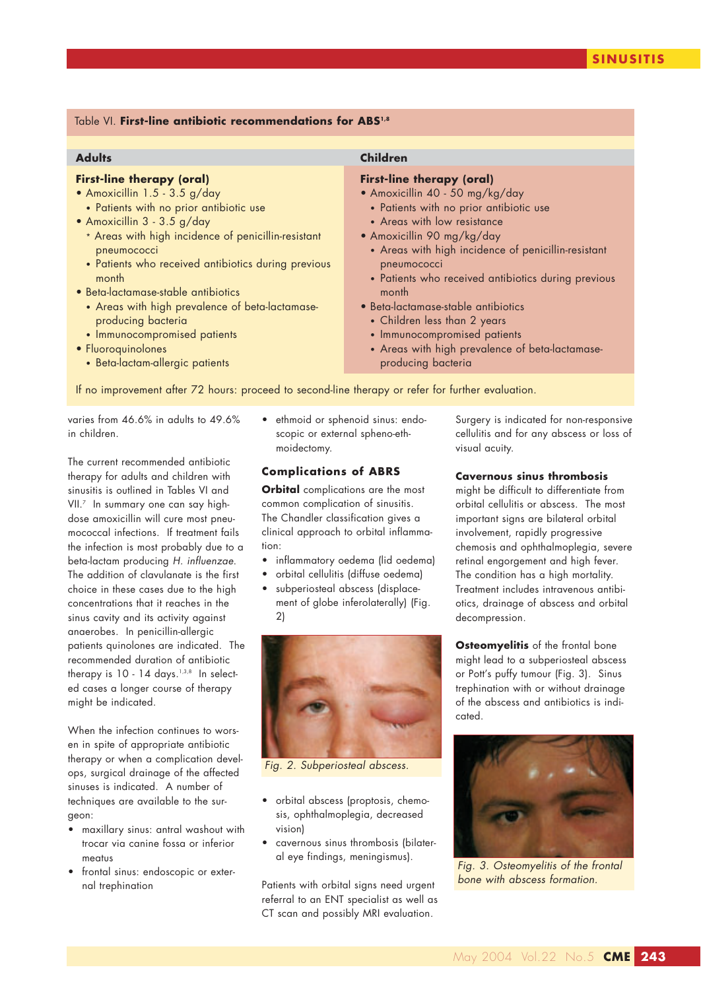## Table VI. **First-line antibiotic recommendations for ABS1,8**

## **Adults**

## **First-line therapy (oral)**

- Amoxicillin 1.5 3.5 g/day
	- Patients with no prior antibiotic use
- Amoxicillin 3 3.5 g/day
	- \* Areas with high incidence of penicillin-resistant pneumococci
	- Patients who received antibiotics during previous month
- Beta-lactamase-stable antibiotics
	- Areas with high prevalence of beta-lactamaseproducing bacteria
	- Immunocompromised patients
- Fluoroquinolones
	- Beta-lactam-allergic patients

## **Children**

#### **First-line therapy (oral)**

- Amoxicillin 40 50 mg/kg/day
	- Patients with no prior antibiotic use
	- Areas with low resistance
- Amoxicillin 90 mg/kg/day
	- Areas with high incidence of penicillin-resistant pneumococci
	- Patients who received antibiotics during previous month
- Beta-lactamase-stable antibiotics
	- Children less than 2 years
	- Immunocompromised patients
	- Areas with high prevalence of beta-lactamaseproducing bacteria

If no improvement after 72 hours: proceed to second-line therapy or refer for further evaluation.

varies from 46.6% in adults to 49.6% in children.

The current recommended antibiotic therapy for adults and children with sinusitis is outlined in Tables VI and VII.7 In summary one can say highdose amoxicillin will cure most pneumococcal infections. If treatment fails the infection is most probably due to a beta-lactam producing H. influenzae. The addition of clavulanate is the first choice in these cases due to the high concentrations that it reaches in the sinus cavity and its activity against anaerobes. In penicillin-allergic patients quinolones are indicated. The recommended duration of antibiotic therapy is  $10 - 14$  days.<sup>1,3,8</sup> In selected cases a longer course of therapy might be indicated.

When the infection continues to worsen in spite of appropriate antibiotic therapy or when a complication develops, surgical drainage of the affected sinuses is indicated. A number of techniques are available to the surgeon:

- maxillary sinus: antral washout with trocar via canine fossa or inferior meatus
- frontal sinus: endoscopic or external trephination

• ethmoid or sphenoid sinus: endoscopic or external spheno-ethmoidectomy.

#### **Complications of ABRS**

**Orbital** complications are the most common complication of sinusitis. The Chandler classification gives a clinical approach to orbital inflammation:

- inflammatory oedema (lid oedema)
- orbital cellulitis (diffuse oedema)
- subperiosteal abscess (displacement of globe inferolaterally) (Fig. 2)



Fig. 2. Subperiosteal abscess.

- orbital abscess (proptosis, chemosis, ophthalmoplegia, decreased vision)
- cavernous sinus thrombosis (bilateral eye findings, meningismus).

Patients with orbital signs need urgent referral to an ENT specialist as well as CT scan and possibly MRI evaluation.

Surgery is indicated for non-responsive cellulitis and for any abscess or loss of visual acuity.

## **Cavernous sinus thrombosis**

might be difficult to differentiate from orbital cellulitis or abscess. The most important signs are bilateral orbital involvement, rapidly progressive chemosis and ophthalmoplegia, severe retinal engorgement and high fever. The condition has a high mortality. Treatment includes intravenous antibiotics, drainage of abscess and orbital decompression.

**Osteomyelitis** of the frontal bone might lead to a subperiosteal abscess or Pott's puffy tumour (Fig. 3). Sinus trephination with or without drainage of the abscess and antibiotics is indicated.



Fig. 3. Osteomyelitis of the frontal bone with abscess formation.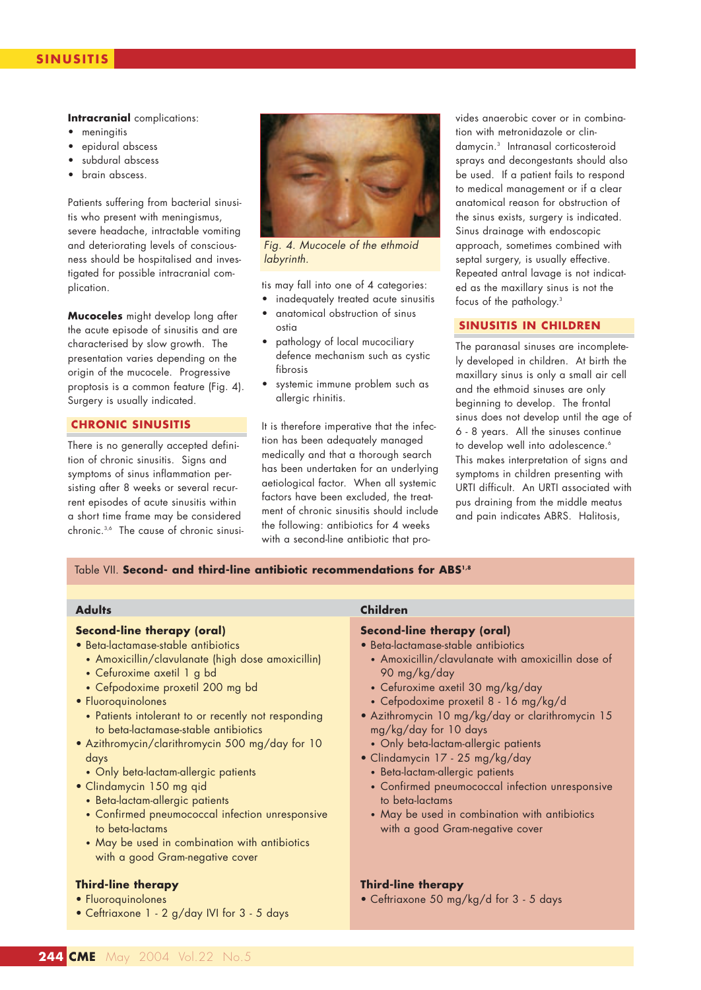#### **Intracranial** complications:

- meningitis
- epidural abscess
- subdural abscess
- brain abscess.

Patients suffering from bacterial sinusitis who present with meningismus, severe headache, intractable vomiting and deteriorating levels of consciousness should be hospitalised and investigated for possible intracranial complication.

**Mucoceles** might develop long after the acute episode of sinusitis and are characterised by slow growth. The presentation varies depending on the origin of the mucocele. Progressive proptosis is a common feature (Fig. 4). Surgery is usually indicated.

## **CHRONIC SINUSITIS**

There is no generally accepted definition of chronic sinusitis. Signs and symptoms of sinus inflammation persisting after 8 weeks or several recurrent episodes of acute sinusitis within a short time frame may be considered  $chronic<sup>3,6</sup>$ . The cause of chronic sinusi-



Fig. 4. Mucocele of the ethmoid labyrinth.

- tis may fall into one of 4 categories:
- inadequately treated acute sinusitis
- anatomical obstruction of sinus ostia
- pathology of local mucociliary defence mechanism such as cystic fibrosis
- systemic immune problem such as allergic rhinitis.

It is therefore imperative that the infection has been adequately managed medically and that a thorough search has been undertaken for an underlying aetiological factor. When all systemic factors have been excluded, the treatment of chronic sinusitis should include the following: antibiotics for 4 weeks with a second-line antibiotic that provides anaerobic cover or in combination with metronidazole or clindamycin.3 Intranasal corticosteroid sprays and decongestants should also be used. If a patient fails to respond to medical management or if a clear anatomical reason for obstruction of the sinus exists, surgery is indicated. Sinus drainage with endoscopic approach, sometimes combined with septal surgery, is usually effective. Repeated antral lavage is not indicated as the maxillary sinus is not the focus of the pathology.<sup>3</sup>

## **SINUSITIS IN CHILDREN**

The paranasal sinuses are incompletely developed in children. At birth the maxillary sinus is only a small air cell and the ethmoid sinuses are only beginning to develop. The frontal sinus does not develop until the age of 6 - 8 years. All the sinuses continue to develop well into adolescence.<sup>6</sup> This makes interpretation of signs and symptoms in children presenting with URTI difficult. An URTI associated with pus draining from the middle meatus and pain indicates ABRS. Halitosis,

#### Table VII. **Second- and third-line antibiotic recommendations for ABS1,8**

#### **Adults**

## **Second-line therapy (oral)**

- Beta-lactamase-stable antibiotics
	- Amoxicillin/clavulanate (high dose amoxicillin)
	- Cefuroxime axetil 1 g bd
	- Cefpodoxime proxetil 200 mg bd
- Fluoroquinolones
	- Patients intolerant to or recently not responding to beta-lactamase-stable antibiotics
- Azithromycin/clarithromycin 500 mg/day for 10 days
	- Only beta-lactam-allergic patients
- Clindamycin 150 mg qid
	- Beta-lactam-allergic patients
	- Confirmed pneumococcal infection unresponsive to beta-lactams
	- May be used in combination with antibiotics with a good Gram-negative cover

### **Third-line therapy**

- Fluoroquinolones
- Ceftriaxone 1 2 g/day IVI for 3 5 days

#### **Children**

#### **Second-line therapy (oral)**

- Beta-lactamase-stable antibiotics
	- Amoxicillin/clavulanate with amoxicillin dose of 90 mg/kg/day
	- Cefuroxime axetil 30 mg/kg/day
	- Cefpodoxime proxetil 8 16 mg/kg/d
- Azithromycin 10 mg/kg/day or clarithromycin 15 mg/kg/day for 10 days
- Only beta-lactam-allergic patients
- Clindamycin 17 25 mg/kg/day
	- Beta-lactam-allergic patients
	- Confirmed pneumococcal infection unresponsive to beta-lactams
	- May be used in combination with antibiotics with a good Gram-negative cover

### **Third-line therapy**

• Ceftriaxone 50 mg/kg/d for 3 - 5 days